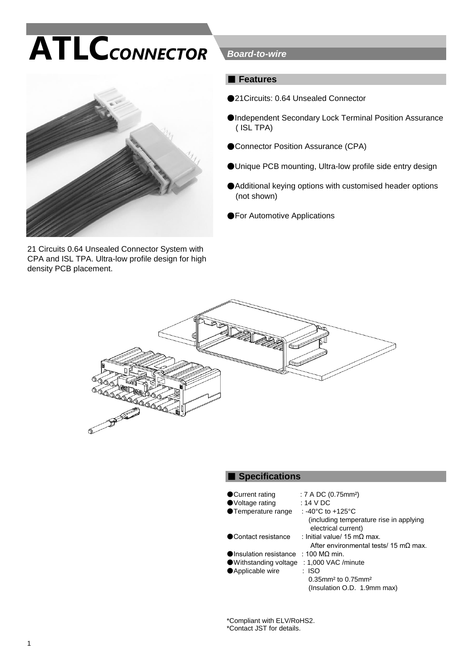# **ATLC***CONNECTOR*



21 Circuits 0.64 Unsealed Connector System with CPA and ISL TPA. Ultra-low profile design for high density PCB placement.

#### *Board-to-wire*

#### ■ **Features**

- ●21Circuits: 0.64 Unsealed Connector
- ●Independent Secondary Lock Terminal Position Assurance ( ISL TPA)
- ●Connector Position Assurance (CPA)
- ●Unique PCB mounting, Ultra-low profile side entry design
- ●Additional keying options with customised header options (not shown)
- ●For Automotive Applications



#### ■ Specifications

| ● Current rating       | : 7 A DC (0.75mm <sup>2</sup> )                                |
|------------------------|----------------------------------------------------------------|
| ●Voltage rating        | : 14 V DC                                                      |
| ●Temperature range     | : -40°C to +125°C                                              |
|                        | (including temperature rise in applying<br>electrical current) |
| ● Contact resistance   | : Initial value/ 15 m $\Omega$ max.                            |
|                        | After environmental tests/ 15 m $\Omega$ max.                  |
| Olnsulation resistance | $\pm$ 100 MQ min.                                              |
| ● Withstanding voltage | : 1,000 VAC /minute                                            |
| ● Applicable wire      | : ISO                                                          |
|                        | $0.35$ mm <sup>2</sup> to $0.75$ mm <sup>2</sup>               |
|                        | (Insulation O.D. 1.9mm max)                                    |

\*Compliant with ELV/RoHS2. \*Contact JST for details.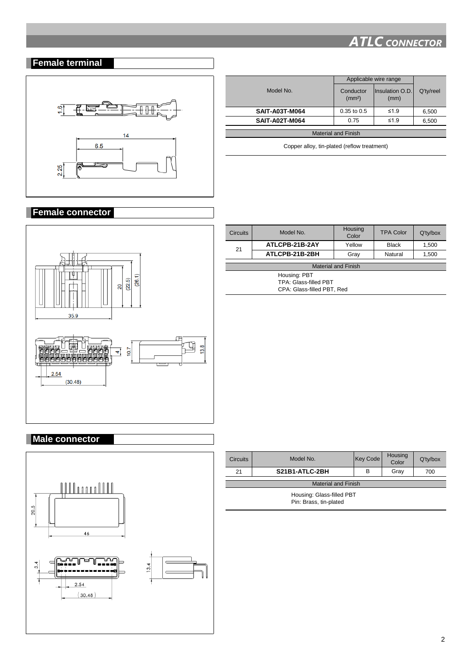## **Female terminal**



|                            | Applicable wire range           |                         |           |
|----------------------------|---------------------------------|-------------------------|-----------|
| Model No.                  | Conductor<br>(mm <sup>2</sup> ) | Insulation O.D.<br>(mm) | Q'ty/reel |
| <b>SAIT-A03T-M064</b>      | $0.35$ to $0.5$                 | $\leq 1.9$              | 6,500     |
| <b>SAIT-A02T-M064</b>      | 0.75                            | $\leq 1.9$              | 6,500     |
| <b>Material and Finish</b> |                                 |                         |           |
|                            |                                 |                         |           |

Copper alloy, tin-plated (reflow treatment)

#### **Female connector**



| <b>Male connector</b> |
|-----------------------|
|                       |
|                       |
|                       |
|                       |
|                       |
|                       |



| <b>Circuits</b>                                                            | Model No. | Housing<br>Color | <b>TPA Color</b> | $Q'$ ty/box |
|----------------------------------------------------------------------------|-----------|------------------|------------------|-------------|
| ATLCPB-21B-2AY<br>21<br>ATLCPB-21B-2BH                                     | Yellow    | <b>Black</b>     | 1,500            |             |
|                                                                            |           | Grav             | Natural          | 1,500       |
| <b>Material and Finish</b>                                                 |           |                  |                  |             |
| Housing: PBT<br><b>TPA: Glass-filled PBT</b><br>CPA: Glass-filled PBT, Red |           |                  |                  |             |

| <b>Circuits</b>            | Model No.      | Key Code | <b>Housing</b><br>Color | Q'ty/box |
|----------------------------|----------------|----------|-------------------------|----------|
| 21                         | S21B1-ATLC-2BH | в        | Gray                    | 700      |
| <b>Material and Finish</b> |                |          |                         |          |
|                            |                |          |                         |          |
| Housing: Glass-filled PBT  |                |          |                         |          |
| Pin: Brass, tin-plated     |                |          |                         |          |
|                            |                |          |                         |          |
|                            |                |          |                         |          |

# *ATLC CONNECTOR*